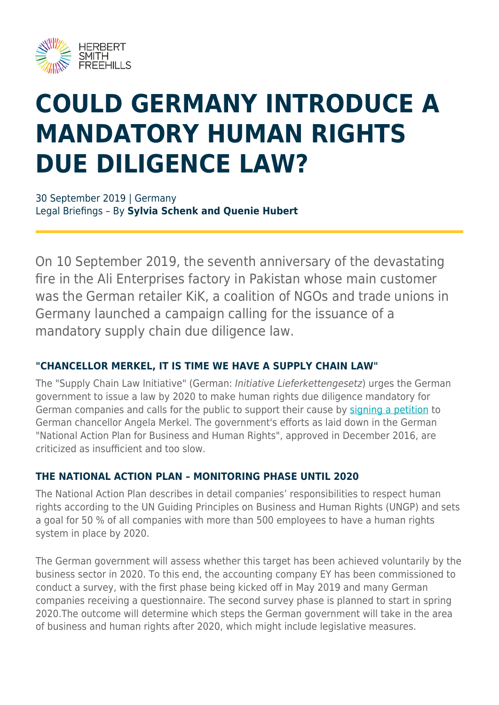

# **COULD GERMANY INTRODUCE A MANDATORY HUMAN RIGHTS DUE DILIGENCE LAW?**

30 September 2019 | Germany Legal Briefings – By **Sylvia Schenk and Quenie Hubert**

On 10 September 2019, the seventh anniversary of the devastating fire in the Ali Enterprises factory in Pakistan whose main customer was the German retailer KiK, a coalition of NGOs and trade unions in Germany launched a campaign calling for the issuance of a mandatory supply chain due diligence law.

#### **"CHANCELLOR MERKEL, IT IS TIME WE HAVE A SUPPLY CHAIN LAW"**

The "Supply Chain Law Initiative" (German: Initiative Lieferkettengesetz) urges the German government to issue a law by 2020 to make human rights due diligence mandatory for German companies and calls for the public to support their cause by [signing a petition](https://lieferkettengesetz.de/) to German chancellor Angela Merkel. The government's efforts as laid down in the German "National Action Plan for Business and Human Rights", approved in December 2016, are criticized as insufficient and too slow.

#### **THE NATIONAL ACTION PLAN – MONITORING PHASE UNTIL 2020**

The National Action Plan describes in detail companies' responsibilities to respect human rights according to the UN Guiding Principles on Business and Human Rights (UNGP) and sets a goal for 50 % of all companies with more than 500 employees to have a human rights system in place by 2020.

The German government will assess whether this target has been achieved voluntarily by the business sector in 2020. To this end, the accounting company EY has been commissioned to conduct a survey, with the first phase being kicked off in May 2019 and many German companies receiving a questionnaire. The second survey phase is planned to start in spring 2020.The outcome will determine which steps the German government will take in the area of business and human rights after 2020, which might include legislative measures.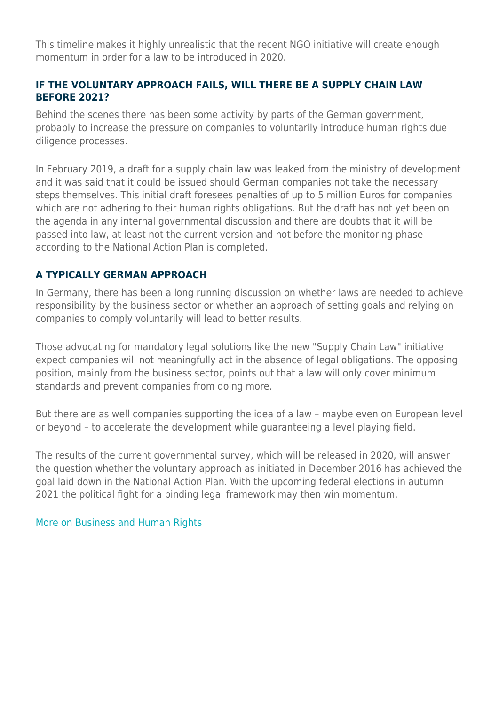This timeline makes it highly unrealistic that the recent NGO initiative will create enough momentum in order for a law to be introduced in 2020.

#### **IF THE VOLUNTARY APPROACH FAILS, WILL THERE BE A SUPPLY CHAIN LAW BEFORE 2021?**

Behind the scenes there has been some activity by parts of the German government, probably to increase the pressure on companies to voluntarily introduce human rights due diligence processes.

In February 2019, a draft for a supply chain law was leaked from the ministry of development and it was said that it could be issued should German companies not take the necessary steps themselves. This initial draft foresees penalties of up to 5 million Euros for companies which are not adhering to their human rights obligations. But the draft has not yet been on the agenda in any internal governmental discussion and there are doubts that it will be passed into law, at least not the current version and not before the monitoring phase according to the National Action Plan is completed.

#### **A TYPICALLY GERMAN APPROACH**

In Germany, there has been a long running discussion on whether laws are needed to achieve responsibility by the business sector or whether an approach of setting goals and relying on companies to comply voluntarily will lead to better results.

Those advocating for mandatory legal solutions like the new "Supply Chain Law" initiative expect companies will not meaningfully act in the absence of legal obligations. The opposing position, mainly from the business sector, points out that a law will only cover minimum standards and prevent companies from doing more.

But there are as well companies supporting the idea of a law – maybe even on European level or beyond – to accelerate the development while guaranteeing a level playing field.

The results of the current governmental survey, which will be released in 2020, will answer the question whether the voluntary approach as initiated in December 2016 has achieved the goal laid down in the National Action Plan. With the upcoming federal elections in autumn 2021 the political fight for a binding legal framework may then win momentum.

[More on Business and Human Rights](https://www.herbertsmithfreehills.com/latest-thinking/hubs/business-and-human-rights)